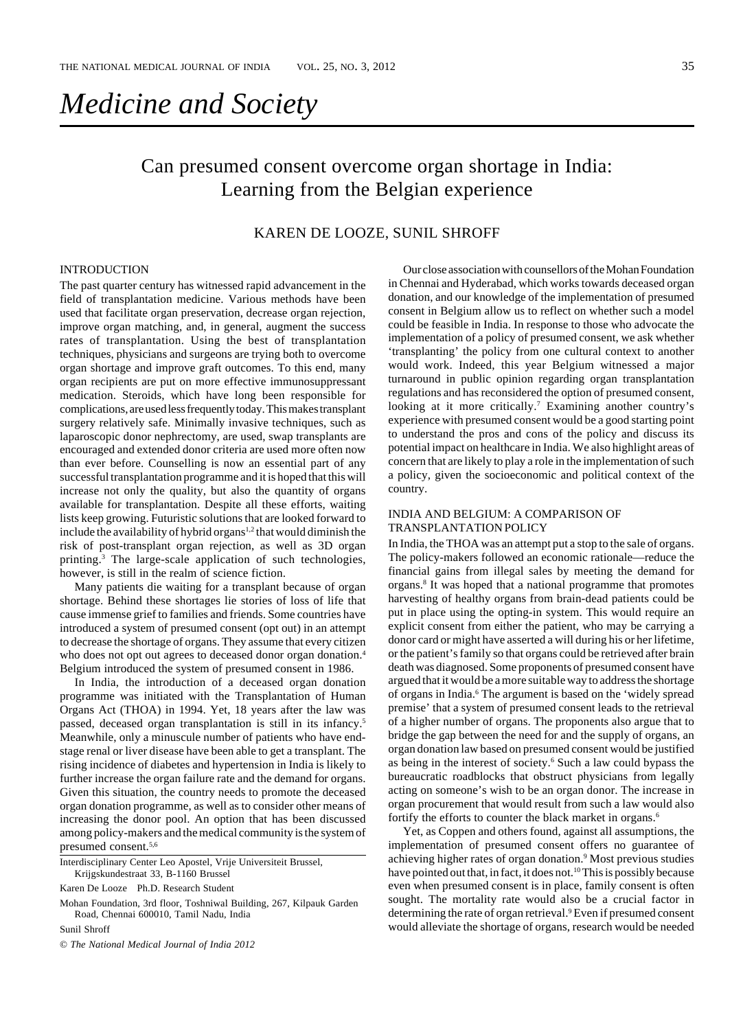# *Medicine and Society*

## Can presumed consent overcome organ shortage in India: Learning from the Belgian experience

### KAREN DE LOOZE, SUNIL SHROFF

#### INTRODUCTION

The past quarter century has witnessed rapid advancement in the field of transplantation medicine. Various methods have been used that facilitate organ preservation, decrease organ rejection, improve organ matching, and, in general, augment the success rates of transplantation. Using the best of transplantation techniques, physicians and surgeons are trying both to overcome organ shortage and improve graft outcomes. To this end, many organ recipients are put on more effective immunosuppressant medication. Steroids, which have long been responsible for complications, are used less frequently today. This makes transplant surgery relatively safe. Minimally invasive techniques, such as laparoscopic donor nephrectomy, are used, swap transplants are encouraged and extended donor criteria are used more often now than ever before. Counselling is now an essential part of any successful transplantation programme and it is hoped that this will increase not only the quality, but also the quantity of organs available for transplantation. Despite all these efforts, waiting lists keep growing. Futuristic solutions that are looked forward to include the availability of hybrid organs<sup>1,2</sup> that would diminish the risk of post-transplant organ rejection, as well as 3D organ printing.<sup>3</sup> The large-scale application of such technologies, however, is still in the realm of science fiction.

Many patients die waiting for a transplant because of organ shortage. Behind these shortages lie stories of loss of life that cause immense grief to families and friends. Some countries have introduced a system of presumed consent (opt out) in an attempt to decrease the shortage of organs. They assume that every citizen who does not opt out agrees to deceased donor organ donation.<sup>4</sup> Belgium introduced the system of presumed consent in 1986.

In India, the introduction of a deceased organ donation programme was initiated with the Transplantation of Human Organs Act (THOA) in 1994. Yet, 18 years after the law was passed, deceased organ transplantation is still in its infancy.5 Meanwhile, only a minuscule number of patients who have endstage renal or liver disease have been able to get a transplant. The rising incidence of diabetes and hypertension in India is likely to further increase the organ failure rate and the demand for organs. Given this situation, the country needs to promote the deceased organ donation programme, as well as to consider other means of increasing the donor pool. An option that has been discussed among policy-makers and the medical community is the system of presumed consent.5,6

Sunil Shroff

© *The National Medical Journal of India 2012*

Our close association with counsellors of the Mohan Foundation in Chennai and Hyderabad, which works towards deceased organ donation, and our knowledge of the implementation of presumed consent in Belgium allow us to reflect on whether such a model could be feasible in India. In response to those who advocate the implementation of a policy of presumed consent, we ask whether 'transplanting' the policy from one cultural context to another would work. Indeed, this year Belgium witnessed a major turnaround in public opinion regarding organ transplantation regulations and has reconsidered the option of presumed consent, looking at it more critically.<sup>7</sup> Examining another country's experience with presumed consent would be a good starting point to understand the pros and cons of the policy and discuss its potential impact on healthcare in India. We also highlight areas of concern that are likely to play a role in the implementation of such a policy, given the socioeconomic and political context of the country.

#### INDIA AND BELGIUM: A COMPARISON OF TRANSPLANTATION POLICY

In India, the THOA was an attempt put a stop to the sale of organs. The policy-makers followed an economic rationale—reduce the financial gains from illegal sales by meeting the demand for organs.8 It was hoped that a national programme that promotes harvesting of healthy organs from brain-dead patients could be put in place using the opting-in system. This would require an explicit consent from either the patient, who may be carrying a donor card or might have asserted a will during his or her lifetime, or the patient's family so that organs could be retrieved after brain death was diagnosed. Some proponents of presumed consent have argued that it would be a more suitable way to address the shortage of organs in India.<sup>6</sup> The argument is based on the 'widely spread premise' that a system of presumed consent leads to the retrieval of a higher number of organs. The proponents also argue that to bridge the gap between the need for and the supply of organs, an organ donation law based on presumed consent would be justified as being in the interest of society.<sup>6</sup> Such a law could bypass the bureaucratic roadblocks that obstruct physicians from legally acting on someone's wish to be an organ donor. The increase in organ procurement that would result from such a law would also fortify the efforts to counter the black market in organs.<sup>6</sup>

Yet, as Coppen and others found, against all assumptions, the implementation of presumed consent offers no guarantee of achieving higher rates of organ donation.9 Most previous studies have pointed out that, in fact, it does not.<sup>10</sup> This is possibly because even when presumed consent is in place, family consent is often sought. The mortality rate would also be a crucial factor in determining the rate of organ retrieval.<sup>9</sup> Even if presumed consent would alleviate the shortage of organs, research would be needed

Interdisciplinary Center Leo Apostel, Vrije Universiteit Brussel, Krijgskundestraat 33, B-1160 Brussel

Karen De Looze Ph.D. Research Student

Mohan Foundation, 3rd floor, Toshniwal Building, 267, Kilpauk Garden Road, Chennai 600010, Tamil Nadu, India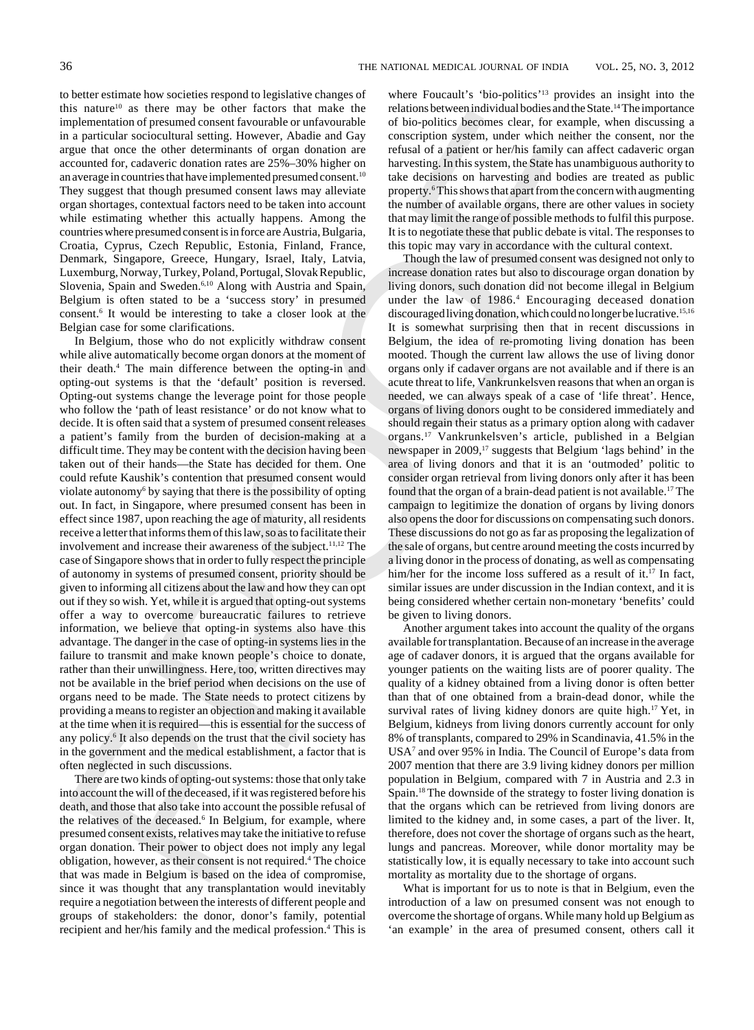to better estimate how societies respond to legislative changes of this nature10 as there may be other factors that make the implementation of presumed consent favourable or unfavourable in a particular sociocultural setting. However, Abadie and Gay argue that once the other determinants of organ donation are accounted for, cadaveric donation rates are 25%–30% higher on an average in countries that have implemented presumed consent.10 They suggest that though presumed consent laws may alleviate organ shortages, contextual factors need to be taken into account while estimating whether this actually happens. Among the countries where presumed consent is in force are Austria, Bulgaria, Croatia, Cyprus, Czech Republic, Estonia, Finland, France, Denmark, Singapore, Greece, Hungary, Israel, Italy, Latvia, Luxemburg, Norway, Turkey, Poland, Portugal, Slovak Republic, Slovenia, Spain and Sweden.6,10 Along with Austria and Spain, Belgium is often stated to be a 'success story' in presumed consent.6 It would be interesting to take a closer look at the Belgian case for some clarifications.

In some 2. Since may be observed from the matter in solaristic behindule and the same stars are not the extend of product from the control of the political from the same stars and the matter in the matter in the matter in In Belgium, those who do not explicitly withdraw consent while alive automatically become organ donors at the moment of their death.4 The main difference between the opting-in and opting-out systems is that the 'default' position is reversed. Opting-out systems change the leverage point for those people who follow the 'path of least resistance' or do not know what to decide. It is often said that a system of presumed consent releases a patient's family from the burden of decision-making at a difficult time. They may be content with the decision having been taken out of their hands—the State has decided for them. One could refute Kaushik's contention that presumed consent would violate autonomy<sup>6</sup> by saying that there is the possibility of opting out. In fact, in Singapore, where presumed consent has been in effect since 1987, upon reaching the age of maturity, all residents receive a letter that informs them of this law, so as to facilitate their involvement and increase their awareness of the subject.<sup>11,12</sup> The case of Singapore shows that in order to fully respect the principle of autonomy in systems of presumed consent, priority should be given to informing all citizens about the law and how they can opt out if they so wish. Yet, while it is argued that opting-out systems offer a way to overcome bureaucratic failures to retrieve information, we believe that opting-in systems also have this advantage. The danger in the case of opting-in systems lies in the failure to transmit and make known people's choice to donate, rather than their unwillingness. Here, too, written directives may not be available in the brief period when decisions on the use of organs need to be made. The State needs to protect citizens by providing a means to register an objection and making it available at the time when it is required—this is essential for the success of any policy.<sup>6</sup> It also depends on the trust that the civil society has in the government and the medical establishment, a factor that is often neglected in such discussions.

There are two kinds of opting-out systems: those that only take into account the will of the deceased, if it was registered before his death, and those that also take into account the possible refusal of the relatives of the deceased.<sup>6</sup> In Belgium, for example, where presumed consent exists, relatives may take the initiative to refuse organ donation. Their power to object does not imply any legal obligation, however, as their consent is not required.<sup>4</sup> The choice that was made in Belgium is based on the idea of compromise, since it was thought that any transplantation would inevitably require a negotiation between the interests of different people and groups of stakeholders: the donor, donor's family, potential recipient and her/his family and the medical profession.<sup>4</sup> This is

where Foucault's 'bio-politics'<sup>13</sup> provides an insight into the relations between individual bodies and the State.14 The importance of bio-politics becomes clear, for example, when discussing a conscription system, under which neither the consent, nor the refusal of a patient or her/his family can affect cadaveric organ harvesting. In this system, the State has unambiguous authority to take decisions on harvesting and bodies are treated as public property.<sup>6</sup>This shows that apart from the concern with augmenting the number of available organs, there are other values in society that may limit the range of possible methods to fulfil this purpose. It is to negotiate these that public debate is vital. The responses to this topic may vary in accordance with the cultural context.

Though the law of presumed consent was designed not only to increase donation rates but also to discourage organ donation by living donors, such donation did not become illegal in Belgium under the law of 1986.<sup>4</sup> Encouraging deceased donation discouraged living donation, which could no longer be lucrative.15,16 It is somewhat surprising then that in recent discussions in Belgium, the idea of re-promoting living donation has been mooted. Though the current law allows the use of living donor organs only if cadaver organs are not available and if there is an acute threat to life, Vankrunkelsven reasons that when an organ is needed, we can always speak of a case of 'life threat'. Hence, organs of living donors ought to be considered immediately and should regain their status as a primary option along with cadaver organs.17 Vankrunkelsven's article, published in a Belgian newspaper in 2009,<sup>17</sup> suggests that Belgium 'lags behind' in the area of living donors and that it is an 'outmoded' politic to consider organ retrieval from living donors only after it has been found that the organ of a brain-dead patient is not available.17 The campaign to legitimize the donation of organs by living donors also opens the door for discussions on compensating such donors. These discussions do not go as far as proposing the legalization of the sale of organs, but centre around meeting the costs incurred by a living donor in the process of donating, as well as compensating him/her for the income loss suffered as a result of it.<sup>17</sup> In fact, similar issues are under discussion in the Indian context, and it is being considered whether certain non-monetary 'benefits' could be given to living donors.

Another argument takes into account the quality of the organs available for transplantation. Because of an increase in the average age of cadaver donors, it is argued that the organs available for younger patients on the waiting lists are of poorer quality. The quality of a kidney obtained from a living donor is often better than that of one obtained from a brain-dead donor, while the survival rates of living kidney donors are quite high.<sup>17</sup> Yet, in Belgium, kidneys from living donors currently account for only 8% of transplants, compared to 29% in Scandinavia, 41.5% in the USA7 and over 95% in India. The Council of Europe's data from 2007 mention that there are 3.9 living kidney donors per million population in Belgium, compared with 7 in Austria and 2.3 in Spain.18 The downside of the strategy to foster living donation is that the organs which can be retrieved from living donors are limited to the kidney and, in some cases, a part of the liver. It, therefore, does not cover the shortage of organs such as the heart, lungs and pancreas. Moreover, while donor mortality may be statistically low, it is equally necessary to take into account such mortality as mortality due to the shortage of organs.

What is important for us to note is that in Belgium, even the introduction of a law on presumed consent was not enough to overcome the shortage of organs. While many hold up Belgium as 'an example' in the area of presumed consent, others call it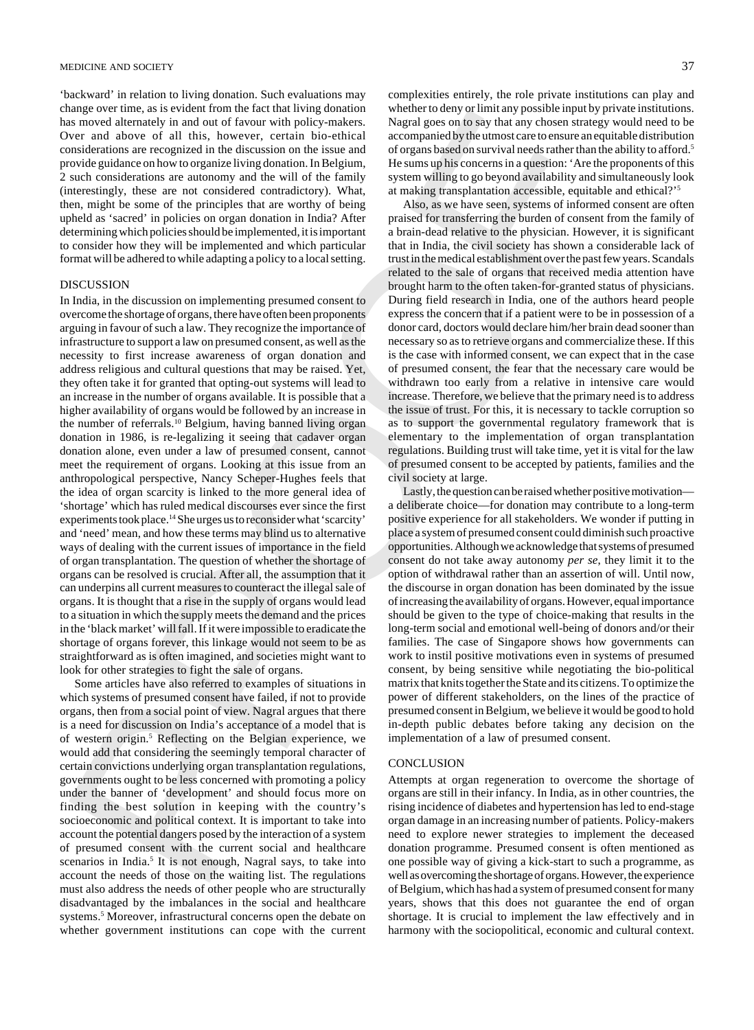#### MEDICINE AND SOCIETY 37

'backward' in relation to living donation. Such evaluations may change over time, as is evident from the fact that living donation has moved alternately in and out of favour with policy-makers. Over and above of all this, however, certain bio-ethical considerations are recognized in the discussion on the issue and provide guidance on how to organize living donation. In Belgium, 2 such considerations are autonomy and the will of the family (interestingly, these are not considered contradictory). What, then, might be some of the principles that are worthy of being upheld as 'sacred' in policies on organ donation in India? After determining which policies should be implemented, it is important to consider how they will be implemented and which particular format will be adhered to while adapting a policy to a local setting.

#### DISCUSSION

happers in explain for the initial theoretic first that the proposition of the state of the state of the controller that the state of the state of the state of the state of the state of the state of the state of the state In India, in the discussion on implementing presumed consent to overcome the shortage of organs, there have often been proponents arguing in favour of such a law. They recognize the importance of infrastructure to support a law on presumed consent, as well as the necessity to first increase awareness of organ donation and address religious and cultural questions that may be raised. Yet, they often take it for granted that opting-out systems will lead to an increase in the number of organs available. It is possible that a higher availability of organs would be followed by an increase in the number of referrals.<sup>10</sup> Belgium, having banned living organ donation in 1986, is re-legalizing it seeing that cadaver organ donation alone, even under a law of presumed consent, cannot meet the requirement of organs. Looking at this issue from an anthropological perspective, Nancy Scheper-Hughes feels that the idea of organ scarcity is linked to the more general idea of 'shortage' which has ruled medical discourses ever since the first experiments took place.14 She urges us to reconsider what 'scarcity' and 'need' mean, and how these terms may blind us to alternative ways of dealing with the current issues of importance in the field of organ transplantation. The question of whether the shortage of organs can be resolved is crucial. After all, the assumption that it can underpins all current measures to counteract the illegal sale of organs. It is thought that a rise in the supply of organs would lead to a situation in which the supply meets the demand and the prices in the 'black market' will fall. If it were impossible to eradicate the shortage of organs forever, this linkage would not seem to be as straightforward as is often imagined, and societies might want to look for other strategies to fight the sale of organs.

Some articles have also referred to examples of situations in which systems of presumed consent have failed, if not to provide organs, then from a social point of view. Nagral argues that there is a need for discussion on India's acceptance of a model that is of western origin.<sup>5</sup> Reflecting on the Belgian experience, we would add that considering the seemingly temporal character of certain convictions underlying organ transplantation regulations, governments ought to be less concerned with promoting a policy under the banner of 'development' and should focus more on finding the best solution in keeping with the country's socioeconomic and political context. It is important to take into account the potential dangers posed by the interaction of a system of presumed consent with the current social and healthcare scenarios in India.<sup>5</sup> It is not enough, Nagral says, to take into account the needs of those on the waiting list. The regulations must also address the needs of other people who are structurally disadvantaged by the imbalances in the social and healthcare systems.<sup>5</sup> Moreover, infrastructural concerns open the debate on whether government institutions can cope with the current

complexities entirely, the role private institutions can play and whether to deny or limit any possible input by private institutions. Nagral goes on to say that any chosen strategy would need to be accompanied by the utmost care to ensure an equitable distribution of organs based on survival needs rather than the ability to afford.5 He sums up his concerns in a question: 'Are the proponents of this system willing to go beyond availability and simultaneously look at making transplantation accessible, equitable and ethical?'5

Also, as we have seen, systems of informed consent are often praised for transferring the burden of consent from the family of a brain-dead relative to the physician. However, it is significant that in India, the civil society has shown a considerable lack of trust in the medical establishment over the past few years. Scandals related to the sale of organs that received media attention have brought harm to the often taken-for-granted status of physicians. During field research in India, one of the authors heard people express the concern that if a patient were to be in possession of a donor card, doctors would declare him/her brain dead sooner than necessary so as to retrieve organs and commercialize these. If this is the case with informed consent, we can expect that in the case of presumed consent, the fear that the necessary care would be withdrawn too early from a relative in intensive care would increase. Therefore, we believe that the primary need is to address the issue of trust. For this, it is necessary to tackle corruption so as to support the governmental regulatory framework that is elementary to the implementation of organ transplantation regulations. Building trust will take time, yet it is vital for the law of presumed consent to be accepted by patients, families and the civil society at large.

Lastly, the question can be raised whether positive motivation a deliberate choice—for donation may contribute to a long-term positive experience for all stakeholders. We wonder if putting in place a system of presumed consent could diminish such proactive opportunities. Although we acknowledge that systems of presumed consent do not take away autonomy *per se*, they limit it to the option of withdrawal rather than an assertion of will. Until now, the discourse in organ donation has been dominated by the issue of increasing the availability of organs. However, equal importance should be given to the type of choice-making that results in the long-term social and emotional well-being of donors and/or their families. The case of Singapore shows how governments can work to instil positive motivations even in systems of presumed consent, by being sensitive while negotiating the bio-political matrix that knits together the State and its citizens. To optimize the power of different stakeholders, on the lines of the practice of presumed consent in Belgium, we believe it would be good to hold in-depth public debates before taking any decision on the implementation of a law of presumed consent.

#### **CONCLUSION**

Attempts at organ regeneration to overcome the shortage of organs are still in their infancy. In India, as in other countries, the rising incidence of diabetes and hypertension has led to end-stage organ damage in an increasing number of patients. Policy-makers need to explore newer strategies to implement the deceased donation programme. Presumed consent is often mentioned as one possible way of giving a kick-start to such a programme, as well as overcoming the shortage of organs. However, the experience of Belgium, which has had a system of presumed consent for many years, shows that this does not guarantee the end of organ shortage. It is crucial to implement the law effectively and in harmony with the sociopolitical, economic and cultural context.